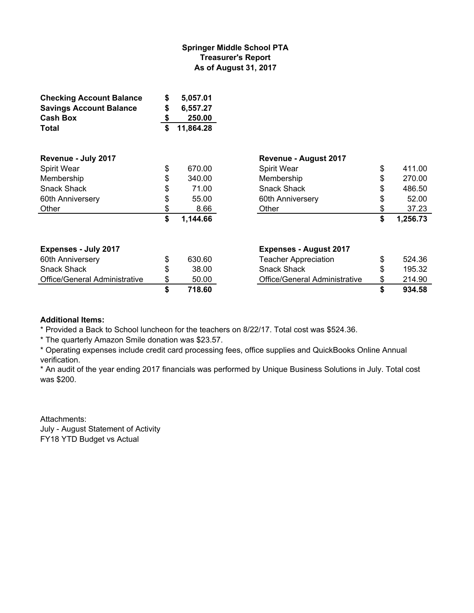## **Springer Middle School PTA Treasurer's Report As of August 31, 2017**

| <b>Checking Account Balance</b> | \$<br>5,057.01  |                               |                |
|---------------------------------|-----------------|-------------------------------|----------------|
| <b>Savings Account Balance</b>  | \$<br>6,557.27  |                               |                |
| <b>Cash Box</b>                 | \$<br>250.00    |                               |                |
| Total                           | \$<br>11,864.28 |                               |                |
| Revenue - July 2017             |                 | Revenue - August 2017         |                |
| Spirit Wear                     | \$<br>670.00    | Spirit Wear                   | \$<br>411.00   |
| Membership                      | \$<br>340.00    | Membership                    | 270.00         |
| <b>Snack Shack</b>              | \$<br>71.00     | <b>Snack Shack</b>            | 486.50         |
| 60th Anniversery                | \$<br>55.00     | 60th Anniversery              | 52.00          |
| Other                           | \$<br>8.66      | Other                         | 37.23          |
|                                 | \$<br>1,144.66  |                               | \$<br>1,256.73 |
| <b>Expenses - July 2017</b>     |                 | <b>Expenses - August 2017</b> |                |
| 60th Anniversery                | \$<br>630.60    | <b>Teacher Appreciation</b>   | \$<br>524.36   |
| <b>Snack Shack</b>              | \$<br>38.00     | <b>Snack Shack</b>            | 195.32         |
| Office/General Administrative   | \$<br>50.00     | Office/General Administrative | \$<br>214.90   |
|                                 | \$<br>718.60    |                               | \$<br>934.58   |

## **Additional Items:**

\* Provided a Back to School luncheon for the teachers on 8/22/17. Total cost was \$524.36.

\* The quarterly Amazon Smile donation was \$23.57.

\* Operating expenses include credit card processing fees, office supplies and QuickBooks Online Annual verification.

\* An audit of the year ending 2017 financials was performed by Unique Business Solutions in July. Total cost was \$200.

Attachments: July - August Statement of Activity FY18 YTD Budget vs Actual